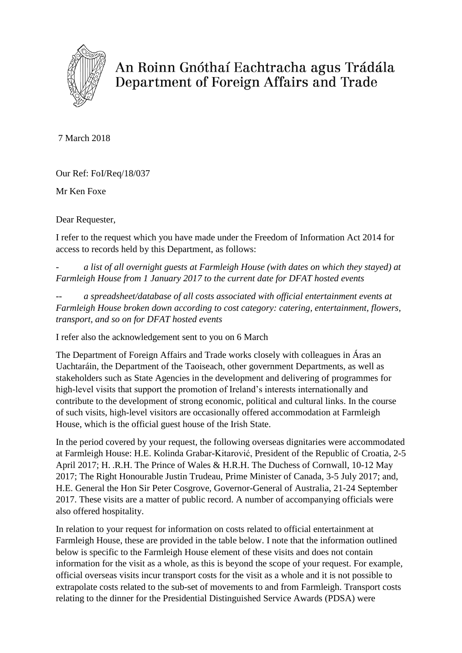

An Roinn Gnóthaí Eachtracha agus Trádála Department of Foreign Affairs and Trade

7 March 2018

Our Ref: FoI/Req/18/037

Mr Ken Foxe

Dear Requester,

I refer to the request which you have made under the Freedom of Information Act 2014 for access to records held by this Department, as follows:

*- a list of all overnight guests at Farmleigh House (with dates on which they stayed) at Farmleigh House from 1 January 2017 to the current date for DFAT hosted events*

*-- a spreadsheet/database of all costs associated with official entertainment events at Farmleigh House broken down according to cost category: catering, entertainment, flowers, transport, and so on for DFAT hosted events*

I refer also the acknowledgement sent to you on 6 March

The Department of Foreign Affairs and Trade works closely with colleagues in Áras an Uachtaráin, the Department of the Taoiseach, other government Departments, as well as stakeholders such as State Agencies in the development and delivering of programmes for high-level visits that support the promotion of Ireland's interests internationally and contribute to the development of strong economic, political and cultural links. In the course of such visits, high-level visitors are occasionally offered accommodation at Farmleigh House, which is the official guest house of the Irish State.

In the period covered by your request, the following overseas dignitaries were accommodated at Farmleigh House: H.E. Kolinda Grabar-Kitarović, President of the Republic of Croatia, 2-5 April 2017; H. .R.H. The Prince of Wales & H.R.H. The Duchess of Cornwall, 10-12 May 2017; The Right Honourable Justin Trudeau, Prime Minister of Canada, 3-5 July 2017; and, H.E. General the Hon Sir Peter Cosgrove, Governor-General of Australia, 21-24 September 2017. These visits are a matter of public record. A number of accompanying officials were also offered hospitality.

In relation to your request for information on costs related to official entertainment at Farmleigh House, these are provided in the table below. I note that the information outlined below is specific to the Farmleigh House element of these visits and does not contain information for the visit as a whole, as this is beyond the scope of your request. For example, official overseas visits incur transport costs for the visit as a whole and it is not possible to extrapolate costs related to the sub-set of movements to and from Farmleigh. Transport costs relating to the dinner for the Presidential Distinguished Service Awards (PDSA) were